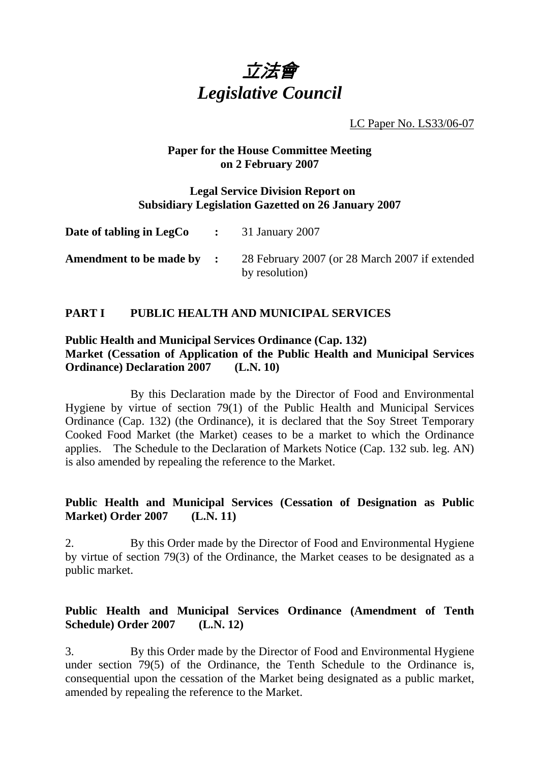

LC Paper No. LS33/06-07

### **Paper for the House Committee Meeting on 2 February 2007**

#### **Legal Service Division Report on Subsidiary Legislation Gazetted on 26 January 2007**

| <b>Date of tabling in LegCo</b> $\qquad$ : 31 January 2007 |                                                                  |
|------------------------------------------------------------|------------------------------------------------------------------|
| Amendment to be made by :                                  | 28 February 2007 (or 28 March 2007 if extended<br>by resolution) |

# **PART I PUBLIC HEALTH AND MUNICIPAL SERVICES**

### **Public Health and Municipal Services Ordinance (Cap. 132) Market (Cessation of Application of the Public Health and Municipal Services Ordinance) Declaration 2007 (L.N. 10)**

 By this Declaration made by the Director of Food and Environmental Hygiene by virtue of section 79(1) of the Public Health and Municipal Services Ordinance (Cap. 132) (the Ordinance), it is declared that the Soy Street Temporary Cooked Food Market (the Market) ceases to be a market to which the Ordinance applies. The Schedule to the Declaration of Markets Notice (Cap. 132 sub. leg. AN) is also amended by repealing the reference to the Market.

### **Public Health and Municipal Services (Cessation of Designation as Public Market) Order 2007 (L.N. 11)**

2. By this Order made by the Director of Food and Environmental Hygiene by virtue of section 79(3) of the Ordinance, the Market ceases to be designated as a public market.

# **Public Health and Municipal Services Ordinance (Amendment of Tenth Schedule) Order 2007 (L.N. 12)**

3. By this Order made by the Director of Food and Environmental Hygiene under section 79(5) of the Ordinance, the Tenth Schedule to the Ordinance is, consequential upon the cessation of the Market being designated as a public market, amended by repealing the reference to the Market.